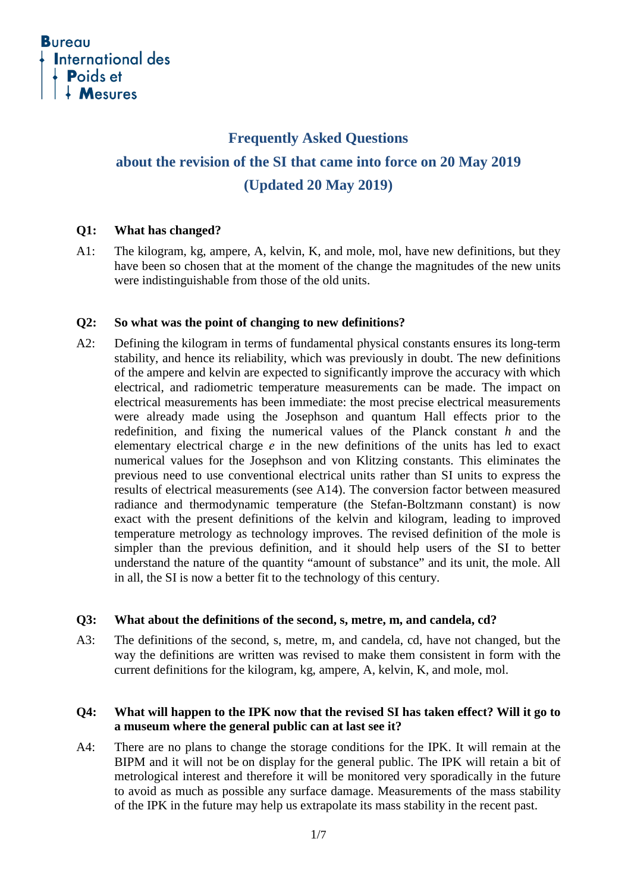

# **Frequently Asked Questions about the revision of the SI that came into force on 20 May 2019 (Updated 20 May 2019)**

### **Q1: What has changed?**

A1: The kilogram, kg, ampere, A, kelvin, K, and mole, mol, have new definitions, but they have been so chosen that at the moment of the change the magnitudes of the new units were indistinguishable from those of the old units.

# **Q2: So what was the point of changing to new definitions?**

A2: Defining the kilogram in terms of fundamental physical constants ensures its long-term stability, and hence its reliability, which was previously in doubt. The new definitions of the ampere and kelvin are expected to significantly improve the accuracy with which electrical, and radiometric temperature measurements can be made. The impact on electrical measurements has been immediate: the most precise electrical measurements were already made using the Josephson and quantum Hall effects prior to the redefinition, and fixing the numerical values of the Planck constant *h* and the elementary electrical charge *e* in the new definitions of the units has led to exact numerical values for the Josephson and von Klitzing constants. This eliminates the previous need to use conventional electrical units rather than SI units to express the results of electrical measurements (see A14). The conversion factor between measured radiance and thermodynamic temperature (the Stefan-Boltzmann constant) is now exact with the present definitions of the kelvin and kilogram, leading to improved temperature metrology as technology improves. The revised definition of the mole is simpler than the previous definition, and it should help users of the SI to better understand the nature of the quantity "amount of substance" and its unit, the mole. All in all, the SI is now a better fit to the technology of this century.

# **Q3: What about the definitions of the second, s, metre, m, and candela, cd?**

A3: The definitions of the second, s, metre, m, and candela, cd, have not changed, but the way the definitions are written was revised to make them consistent in form with the current definitions for the kilogram, kg, ampere, A, kelvin, K, and mole, mol.

# **Q4: What will happen to the IPK now that the revised SI has taken effect? Will it go to a museum where the general public can at last see it?**

A4: There are no plans to change the storage conditions for the IPK. It will remain at the BIPM and it will not be on display for the general public. The IPK will retain a bit of metrological interest and therefore it will be monitored very sporadically in the future to avoid as much as possible any surface damage. Measurements of the mass stability of the IPK in the future may help us extrapolate its mass stability in the recent past.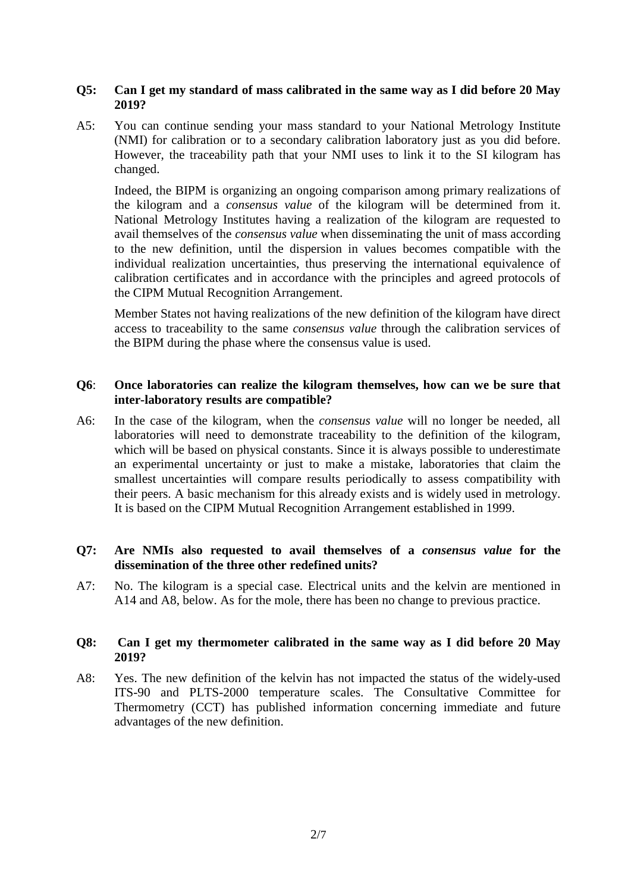### **Q5: Can I get my standard of mass calibrated in the same way as I did before 20 May 2019?**

A5: You can continue sending your mass standard to your National Metrology Institute (NMI) for calibration or to a secondary calibration laboratory just as you did before. However, the traceability path that your NMI uses to link it to the SI kilogram has changed.

Indeed, the BIPM is organizing an ongoing comparison among primary realizations of the kilogram and a *consensus value* of the kilogram will be determined from it. National Metrology Institutes having a realization of the kilogram are requested to avail themselves of the *consensus value* when disseminating the unit of mass according to the new definition, until the dispersion in values becomes compatible with the individual realization uncertainties, thus preserving the international equivalence of calibration certificates and in accordance with the principles and agreed protocols of the CIPM Mutual Recognition Arrangement.

Member States not having realizations of the new definition of the kilogram have direct access to traceability to the same *consensus value* through the calibration services of the BIPM during the phase where the consensus value is used.

# **Q6**: **Once laboratories can realize the kilogram themselves, how can we be sure that inter-laboratory results are compatible?**

A6: In the case of the kilogram, when the *consensus value* will no longer be needed, all laboratories will need to demonstrate traceability to the definition of the kilogram, which will be based on physical constants. Since it is always possible to underestimate an experimental uncertainty or just to make a mistake, laboratories that claim the smallest uncertainties will compare results periodically to assess compatibility with their peers. A basic mechanism for this already exists and is widely used in metrology. It is based on the CIPM Mutual Recognition Arrangement established in 1999.

# **Q7: Are NMIs also requested to avail themselves of a** *consensus value* **for the dissemination of the three other redefined units?**

A7: No. The kilogram is a special case. Electrical units and the kelvin are mentioned in A14 and A8, below. As for the mole, there has been no change to previous practice.

# **Q8: Can I get my thermometer calibrated in the same way as I did before 20 May 2019?**

A8: Yes. The new definition of the kelvin has not impacted the status of the widely-used ITS-90 and PLTS-2000 temperature scales. The Consultative Committee for Thermometry (CCT) has published information concerning immediate and future advantages of the new definition.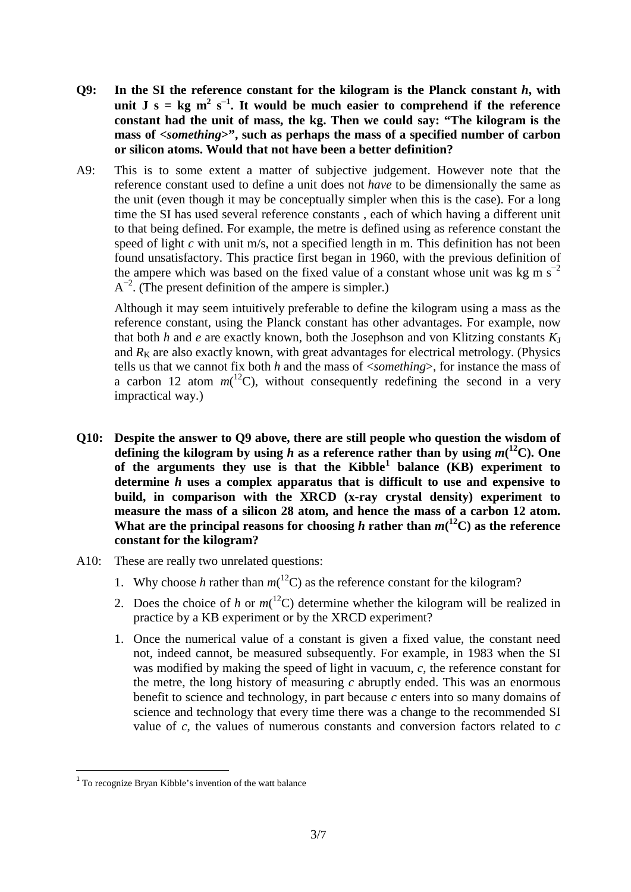- **Q9: In the SI the reference constant for the kilogram is the Planck constant** *h***, with unit J** s =  $\text{kg m}^2$  s<sup>-1</sup>. It would be much easier to comprehend if the reference **constant had the unit of mass, the kg. Then we could say: "The kilogram is the mass of <***something***>", such as perhaps the mass of a specified number of carbon or silicon atoms. Would that not have been a better definition?**
- A9: This is to some extent a matter of subjective judgement. However note that the reference constant used to define a unit does not *have* to be dimensionally the same as the unit (even though it may be conceptually simpler when this is the case). For a long time the SI has used several reference constants , each of which having a different unit to that being defined. For example, the metre is defined using as reference constant the speed of light *c* with unit m/s, not a specified length in m. This definition has not been found unsatisfactory. This practice first began in 1960, with the previous definition of the ampere which was based on the fixed value of a constant whose unit was kg m  $s^{-2}$  $A^{-2}$ . (The present definition of the ampere is simpler.)

Although it may seem intuitively preferable to define the kilogram using a mass as the reference constant, using the Planck constant has other advantages. For example, now that both  $h$  and  $e$  are exactly known, both the Josephson and von Klitzing constants  $K_J$ and  $R<sub>K</sub>$  are also exactly known, with great advantages for electrical metrology. (Physics tells us that we cannot fix both *h* and the mass of <*something*>, for instance the mass of a carbon 12 atom  $m(^{12}C)$ , without consequently redefining the second in a very impractical way.)

- **Q10: Despite the answer to Q9 above, there are still people who question the wisdom of**  defining the kilogram by using *h* as a reference rather than by using  $m(^{12}C)$ . One **of the arguments they use is that the Kibble[1](#page-2-0) balance (KB) experiment to determine** *h* **uses a complex apparatus that is difficult to use and expensive to build, in comparison with the XRCD (x-ray crystal density) experiment to measure the mass of a silicon 28 atom, and hence the mass of a carbon 12 atom.** What are the principal reasons for choosing *h* rather than  $m(^{12}C)$  as the reference **constant for the kilogram?**
- A10: These are really two unrelated questions:
	- 1. Why choose *h* rather than  $m(^{12}C)$  as the reference constant for the kilogram?
	- 2. Does the choice of *h* or  $m(^{12}C)$  determine whether the kilogram will be realized in practice by a KB experiment or by the XRCD experiment?
	- 1. Once the numerical value of a constant is given a fixed value, the constant need not, indeed cannot, be measured subsequently. For example, in 1983 when the SI was modified by making the speed of light in vacuum, *c*, the reference constant for the metre, the long history of measuring *c* abruptly ended. This was an enormous benefit to science and technology, in part because *c* enters into so many domains of science and technology that every time there was a change to the recommended SI value of *c*, the values of numerous constants and conversion factors related to *c*

<span id="page-2-0"></span> <sup>1</sup> To recognize Bryan Kibble's invention of the watt balance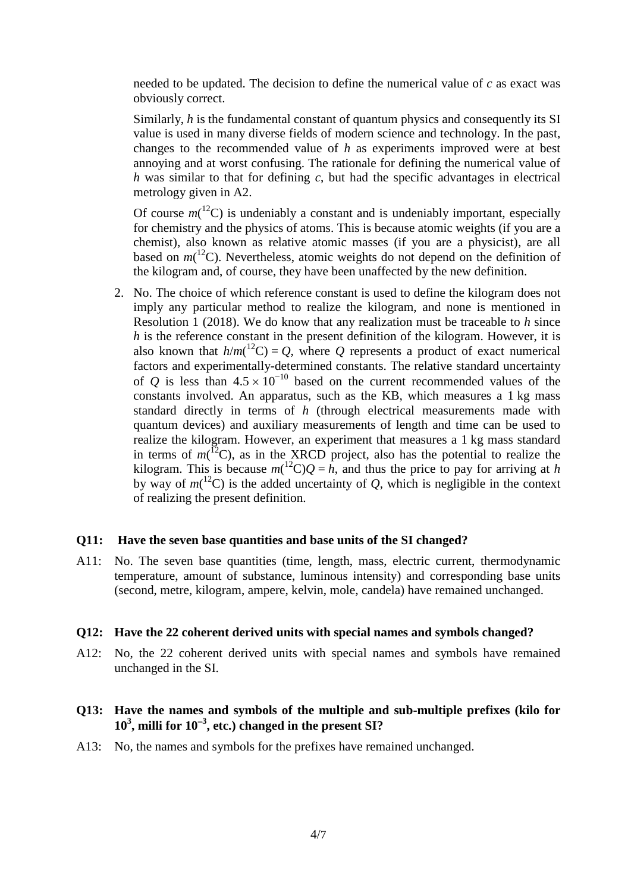needed to be updated. The decision to define the numerical value of *c* as exact was obviously correct.

Similarly, *h* is the fundamental constant of quantum physics and consequently its SI value is used in many diverse fields of modern science and technology. In the past, changes to the recommended value of *h* as experiments improved were at best annoying and at worst confusing. The rationale for defining the numerical value of *h* was similar to that for defining *c*, but had the specific advantages in electrical metrology given in A2.

Of course  $m(^{12}C)$  is undeniably a constant and is undeniably important, especially for chemistry and the physics of atoms. This is because atomic weights (if you are a chemist), also known as relative atomic masses (if you are a physicist), are all based on  $m(^{12}C)$ . Nevertheless, atomic weights do not depend on the definition of the kilogram and, of course, they have been unaffected by the new definition.

2. No. The choice of which reference constant is used to define the kilogram does not imply any particular method to realize the kilogram, and none is mentioned in Resolution 1 (2018). We do know that any realization must be traceable to *h* since *h* is the reference constant in the present definition of the kilogram. However, it is also known that  $h/m(^{12}C) = Q$ , where Q represents a product of exact numerical factors and experimentally-determined constants. The relative standard uncertainty of *Q* is less than  $4.5 \times 10^{-10}$  based on the current recommended values of the constants involved. An apparatus, such as the KB, which measures a 1 kg mass standard directly in terms of *h* (through electrical measurements made with quantum devices) and auxiliary measurements of length and time can be used to realize the kilogram. However, an experiment that measures a 1 kg mass standard in terms of  $m$ <sup>[2</sup>C), as in the XRCD project, also has the potential to realize the kilogram. This is because  $m({}^{12}C)Q = h$ , and thus the price to pay for arriving at *h* by way of  $m(^{12}C)$  is the added uncertainty of *Q*, which is negligible in the context of realizing the present definition.

### **Q11: Have the seven base quantities and base units of the SI changed?**

A11: No. The seven base quantities (time, length, mass, electric current, thermodynamic temperature, amount of substance, luminous intensity) and corresponding base units (second, metre, kilogram, ampere, kelvin, mole, candela) have remained unchanged.

#### **Q12: Have the 22 coherent derived units with special names and symbols changed?**

A12: No, the 22 coherent derived units with special names and symbols have remained unchanged in the SI.

# **Q13: Have the names and symbols of the multiple and sub-multiple prefixes (kilo for 103 , milli for 10**<sup>−</sup>**<sup>3</sup> , etc.) changed in the present SI?**

A13: No, the names and symbols for the prefixes have remained unchanged.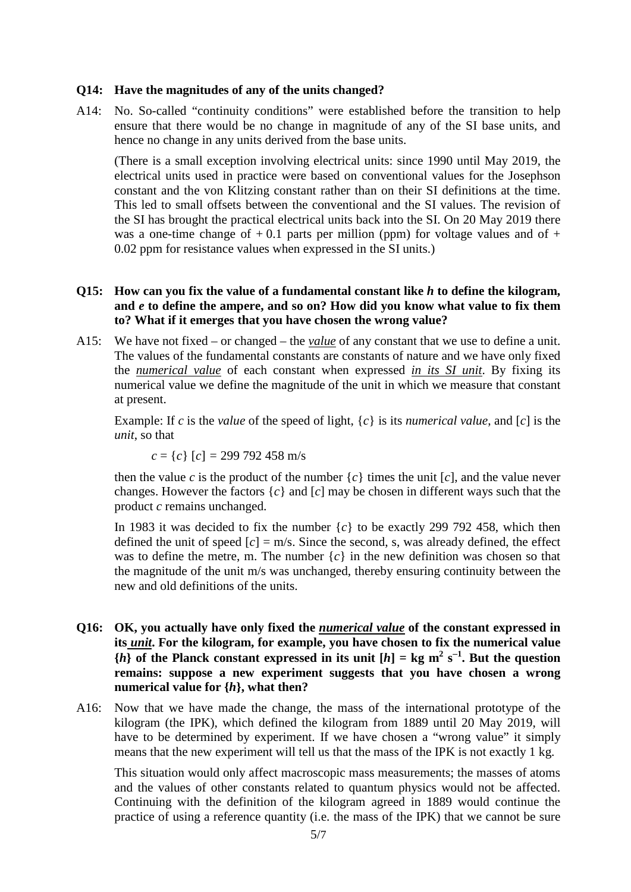### **Q14: Have the magnitudes of any of the units changed?**

A14: No. So-called "continuity conditions" were established before the transition to help ensure that there would be no change in magnitude of any of the SI base units, and hence no change in any units derived from the base units.

(There is a small exception involving electrical units: since 1990 until May 2019, the electrical units used in practice were based on conventional values for the Josephson constant and the von Klitzing constant rather than on their SI definitions at the time. This led to small offsets between the conventional and the SI values. The revision of the SI has brought the practical electrical units back into the SI. On 20 May 2019 there was a one-time change of  $+0.1$  parts per million (ppm) for voltage values and of  $+$ 0.02 ppm for resistance values when expressed in the SI units.)

### **Q15: How can you fix the value of a fundamental constant like** *h* **to define the kilogram, and** *e* **to define the ampere, and so on? How did you know what value to fix them to? What if it emerges that you have chosen the wrong value?**

A15: We have not fixed – or changed – the *value* of any constant that we use to define a unit. The values of the fundamental constants are constants of nature and we have only fixed the *numerical value* of each constant when expressed *in its SI unit*. By fixing its numerical value we define the magnitude of the unit in which we measure that constant at present.

Example: If *c* is the *value* of the speed of light, {*c*} is its *numerical value*, and [*c*] is the *unit*, so that

$$
c = \{c\} \ [c] = 299\,792\,458\ \mathrm{m/s}
$$

then the value *c* is the product of the number  $\{c\}$  times the unit  $[c]$ , and the value never changes. However the factors {*c*} and [*c*] may be chosen in different ways such that the product *c* remains unchanged.

In 1983 it was decided to fix the number  $\{c\}$  to be exactly 299 792 458, which then defined the unit of speed  $[c] = m/s$ . Since the second, s, was already defined, the effect was to define the metre, m. The number  ${c}$  in the new definition was chosen so that the magnitude of the unit m/s was unchanged, thereby ensuring continuity between the new and old definitions of the units.

- **Q16: OK, you actually have only fixed the** *numerical value* **of the constant expressed in its** *unit***. For the kilogram, for example, you have chosen to fix the numerical value**   ${h}$  **of the Planck constant expressed in its unit**  $[h] = \text{kg m}^2 \text{ s}^{-1}$ **. But the question remains: suppose a new experiment suggests that you have chosen a wrong numerical value for {***h***}, what then?**
- A16: Now that we have made the change, the mass of the international prototype of the kilogram (the IPK), which defined the kilogram from 1889 until 20 May 2019, will have to be determined by experiment. If we have chosen a "wrong value" it simply means that the new experiment will tell us that the mass of the IPK is not exactly 1 kg.

This situation would only affect macroscopic mass measurements; the masses of atoms and the values of other constants related to quantum physics would not be affected. Continuing with the definition of the kilogram agreed in 1889 would continue the practice of using a reference quantity (i.e. the mass of the IPK) that we cannot be sure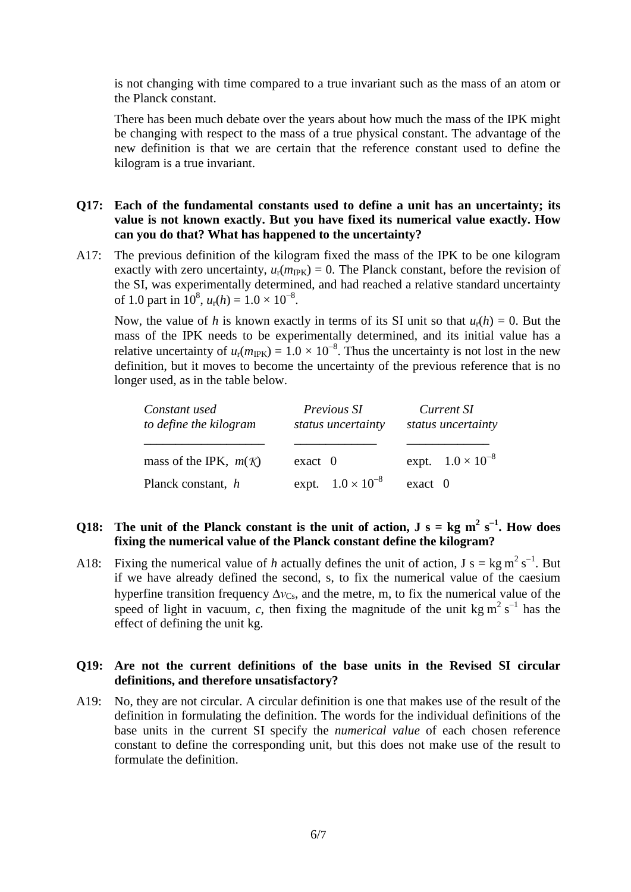is not changing with time compared to a true invariant such as the mass of an atom or the Planck constant.

There has been much debate over the years about how much the mass of the IPK might be changing with respect to the mass of a true physical constant. The advantage of the new definition is that we are certain that the reference constant used to define the kilogram is a true invariant.

# **Q17: Each of the fundamental constants used to define a unit has an uncertainty; its value is not known exactly. But you have fixed its numerical value exactly. How can you do that? What has happened to the uncertainty?**

A17: The previous definition of the kilogram fixed the mass of the IPK to be one kilogram exactly with zero uncertainty,  $u_r(m_{\text{IPK}}) = 0$ . The Planck constant, before the revision of the SI, was experimentally determined, and had reached a relative standard uncertainty of 1.0 part in  $10^8$ ,  $u_r(h) = 1.0 \times 10^{-8}$ .

Now, the value of *h* is known exactly in terms of its SI unit so that  $u_r(h) = 0$ . But the mass of the IPK needs to be experimentally determined, and its initial value has a relative uncertainty of  $u_r(m_{\text{IPK}}) = 1.0 \times 10^{-8}$ . Thus the uncertainty is not lost in the new definition, but it moves to become the uncertainty of the previous reference that is no longer used, as in the table below.

| Constant used<br>to define the kilogram | Previous SI<br>status uncertainty | Current SI<br>status uncertainty |
|-----------------------------------------|-----------------------------------|----------------------------------|
| mass of the IPK, $m(\mathcal{K})$       | $exact$ 0                         | expt. $1.0 \times 10^{-8}$       |
| Planck constant, h                      | expt. $1.0 \times 10^{-8}$        | $\text{exact}$ 0                 |

# Q18: The unit of the Planck constant is the unit of action,  $J s = kg m^2 s^{-1}$ . How does **fixing the numerical value of the Planck constant define the kilogram?**

A18: Fixing the numerical value of h actually defines the unit of action,  $J s = kg m^2 s^{-1}$ . But if we have already defined the second, s, to fix the numerical value of the caesium hyperfine transition frequency  $\Delta v_{\text{Cs}}$ , and the metre, m, to fix the numerical value of the speed of light in vacuum, c, then fixing the magnitude of the unit kg  $m^2 s^{-1}$  has the effect of defining the unit kg.

### **Q19: Are not the current definitions of the base units in the Revised SI circular definitions, and therefore unsatisfactory?**

A19: No, they are not circular. A circular definition is one that makes use of the result of the definition in formulating the definition. The words for the individual definitions of the base units in the current SI specify the *numerical value* of each chosen reference constant to define the corresponding unit, but this does not make use of the result to formulate the definition.